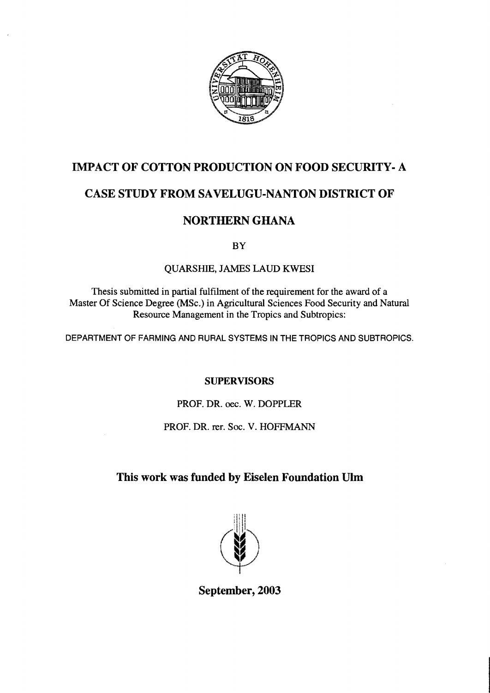

### IMPACT OF COTTON PRODUCTION ON FOOD SECURITY- A

# CASE STUDY FROM SAVELUGU-NANTON DISTRICT OF

## NORTHERN GHANA

BY

### QUARSHIE, JAMES LAUD KWESI

Thesis submitted in partial fulfilment of the requirement for the award of a Master Of Science Degree (MSc.) in Agricultural Sciences Food Security and Natural Resource Management in the Tropics and Subtropics:

DEPARTMENT OF FARMING AND RURAL SYSTEMS IN THE TROPICS AND SUBTROPICS.

### SUPERVISORS

PROF. DR. oec. W. DOPPLER

### PROF. DR. rer. Soc. V. HOFFMANN

## This work was funded by Eiselen Foundation Ulm



September, 2003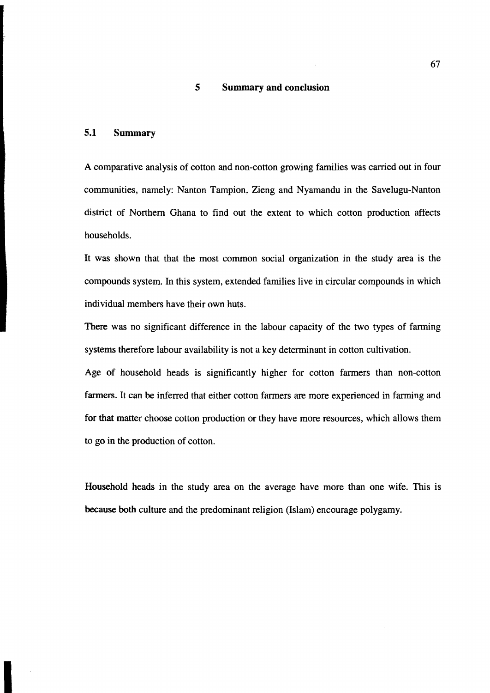#### **5 Summary and conclusion**

#### **5.1 Summary**

A comparative analysis of cotton and non-cotton growing families was carried out in four communities, namely: Nanton Tampion, Zieng and Nyamandu in the Savelugu-Nanton district of Northern Ghana to find out the extent to which cotton production affects households.

It was shown that that the most common social organization in the study area is the compounds system. In this system, extended families live in circular compounds in which individual members have their own huts.

There was no significant difference in the labour capacity of the two types of farming systems therefore labour availability is not a key determinant in cotton cultivation.

Age of household heads is significantly higher for cotton farmers than non-cotton farmers. It can be inferred that either cotton farmers are more experienced in farming and for **that** matter choose cotton production or they have more resources, which allows them to go in the production of cotton.

Household heads in the study area on the average have more than one wife. This is because **both** culture and the predominant religion (Islam) encourage polygamy.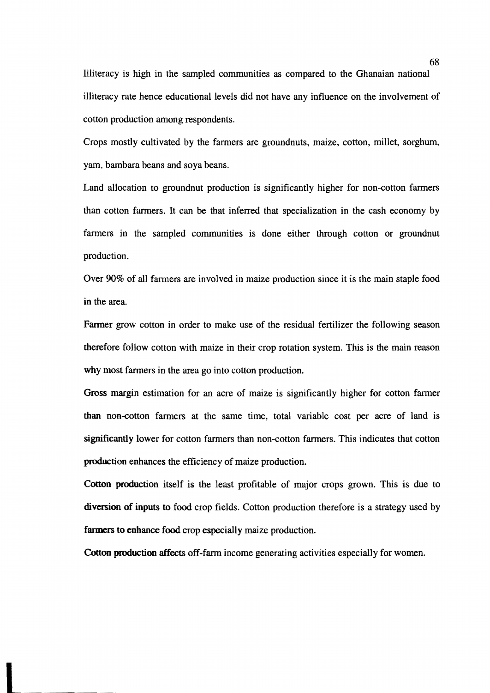Illiteracy is high in the sampled communities as compared to the Ghanaian national illiteracy rate hence educational levels did not have any influence on the involvement of cotton production among respondents.

Crops mostly cultivated by the farmers are groundnuts, maize, cotton, millet, sorghum, yam, bambara beans and soya beans.

Land allocation to groundnut production is significantly higher for non-cotton farmers than cotton farmers. It can be that inferred that specialization in the cash economy by farmers in the sampled communities is done either through cotton or groundnut production.

Over 90% of all farmers are involved in maize production since it is the main staple food in the area.

Farmer grow cotton in order to make use of the residual fertilizer the following season therefore follow cotton with maize in their crop rotation system. This is the main reason why most farmers in the area go into cotton production.

Gross margin estimation for an acre of maize is significantly higher for cotton farmer than non-cotton farmers at the same time, total variable cost per acre of land is significantly lower for cotton farmers than non-cotton farmers. This indicates that cotton production enhances the efficiency of maize production.

Cotton production itself is the least profitable of major crops grown. This is due to diversion of inputs to food crop fields. Cotton production therefore is a strategy used by fanners to enhance food crop especially maize production.

Cotton production affects off-farm income generating activities especially for women.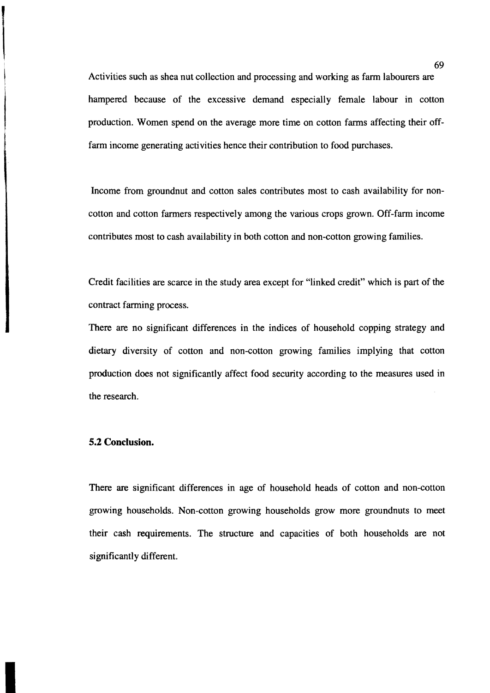Activities such as shea nut collection and processing and working as farm labourers are hampered because of the excessive demand especially female labour in cotton production. Women spend on the average more time on cotton farms affecting their offfarm income generating activities hence their contribution to food purchases.

Income from groundnut and cotton sales contributes most to cash availability for noncotton and cotton farmers respectively among the various crops grown. Off-farm income contributes most to cash availability in both cotton and non-cotton growing families.

Credit facilities are scarce in the study area except for "linked credit" which is part of the contract farming process.

There are no significant differences in the indices of household copping strategy and dietary diversity of cotton and non-cotton growing families implying that cotton production does not significantly affect food security according to the measures used in the research.

#### **5.2 Conclusion.**

There are significant differences in age of household heads of cotton and non-cotton growing households. Non-cotton growing households grow more groundnuts to meet their cash requirements. The structure and capacities of both households are not significantly different.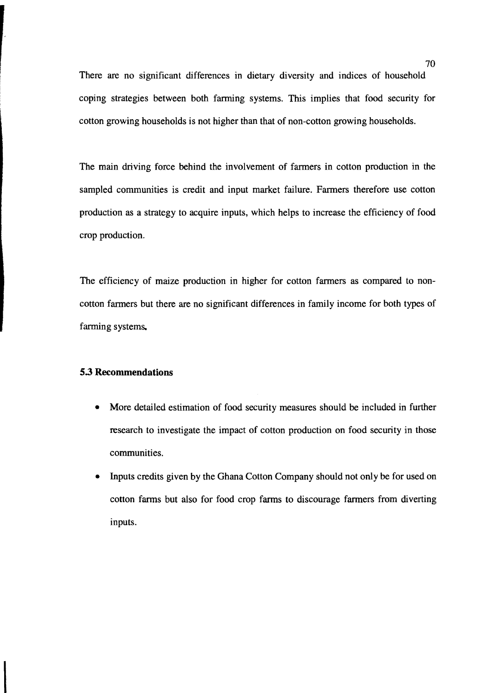There are no significant differences in dietary diversity and indices of household coping strategies between both fanning systems. This implies that food security for cotton growing households is not higher than that of non-cotton growing households.

The main driving force behind the involvement of farmers in cotton production in the sampled communities is credit and input market failure. Farmers therefore use cotton production as a strategy to acquire inputs, which helps to increase the efficiency of food crop production.

The efficiency of maize production in higher for cotton farmers as compared to noncotton farmers but there are no significant differences in family income for both types of farming systems.

#### **5.3 Recommendations**

- More detailed estimation of food security measures should be included in further research to investigate the impact of cotton production on food security in those communities.
- Inputs credits given by the Ghana Cotton Company should not only be for used on cotton farms but also for food crop farms to discourage farmers from diverting inputs.